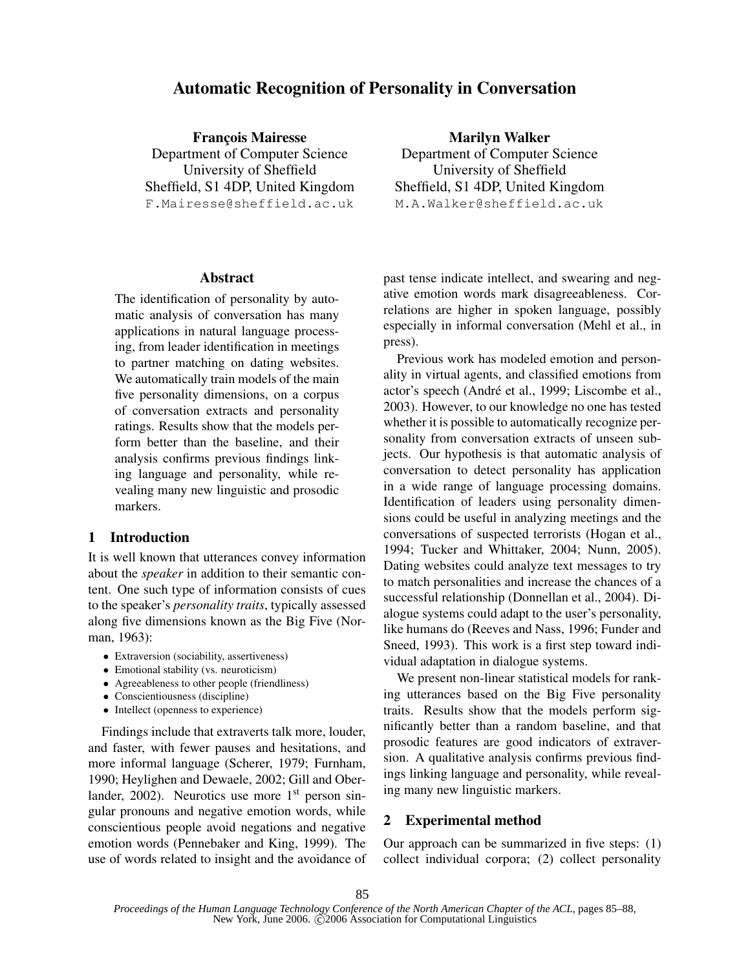# Automatic Recognition of Personality in Conversation

**François Mairesse** Department of Computer Science University of Sheffield Sheffield, S1 4DP, United Kingdom F.Mairesse@sheffield.ac.uk

### Abstract

The identification of personality by automatic analysis of conversation has many applications in natural language processing, from leader identification in meetings to partner matching on dating websites. We automatically train models of the main five personality dimensions, on a corpus of conversation extracts and personality ratings. Results show that the models perform better than the baseline, and their analysis confirms previous findings linking language and personality, while revealing many new linguistic and prosodic markers.

# 1 Introduction

It is well known that utterances convey information about the *speaker* in addition to their semantic content. One such type of information consists of cues to the speaker's *personality traits*, typically assessed along five dimensions known as the Big Five (Norman, 1963):

- Extraversion (sociability, assertiveness)
- Emotional stability (vs. neuroticism)
- Agreeableness to other people (friendliness)
- Conscientiousness (discipline)
- Intellect (openness to experience)

Findings include that extraverts talk more, louder, and faster, with fewer pauses and hesitations, and more informal language (Scherer, 1979; Furnham, 1990; Heylighen and Dewaele, 2002; Gill and Oberlander,  $2002$ ). Neurotics use more  $1<sup>st</sup>$  person singular pronouns and negative emotion words, while conscientious people avoid negations and negative emotion words (Pennebaker and King, 1999). The use of words related to insight and the avoidance of

Marilyn Walker Department of Computer Science University of Sheffield Sheffield, S1 4DP, United Kingdom M.A.Walker@sheffield.ac.uk

past tense indicate intellect, and swearing and negative emotion words mark disagreeableness. Correlations are higher in spoken language, possibly especially in informal conversation (Mehl et al., in press).

Previous work has modeled emotion and personality in virtual agents, and classified emotions from actor's speech (André et al., 1999; Liscombe et al., 2003). However, to our knowledge no one has tested whether it is possible to automatically recognize personality from conversation extracts of unseen subjects. Our hypothesis is that automatic analysis of conversation to detect personality has application in a wide range of language processing domains. Identification of leaders using personality dimensions could be useful in analyzing meetings and the conversations of suspected terrorists (Hogan et al., 1994; Tucker and Whittaker, 2004; Nunn, 2005). Dating websites could analyze text messages to try to match personalities and increase the chances of a successful relationship (Donnellan et al., 2004). Dialogue systems could adapt to the user's personality, like humans do (Reeves and Nass, 1996; Funder and Sneed, 1993). This work is a first step toward individual adaptation in dialogue systems.

We present non-linear statistical models for ranking utterances based on the Big Five personality traits. Results show that the models perform significantly better than a random baseline, and that prosodic features are good indicators of extraversion. A qualitative analysis confirms previous findings linking language and personality, while revealing many new linguistic markers.

# 2 Experimental method

Our approach can be summarized in five steps: (1) collect individual corpora; (2) collect personality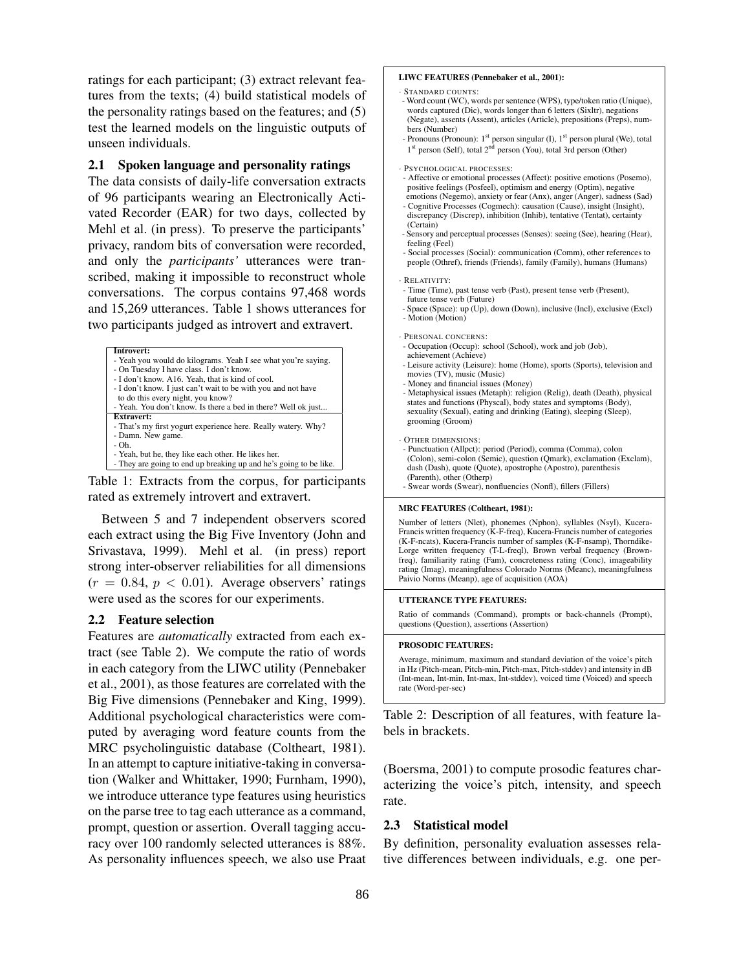ratings for each participant; (3) extract relevant features from the texts; (4) build statistical models of the personality ratings based on the features; and (5) test the learned models on the linguistic outputs of unseen individuals.

## 2.1 Spoken language and personality ratings

The data consists of daily-life conversation extracts of 96 participants wearing an Electronically Activated Recorder (EAR) for two days, collected by Mehl et al. (in press). To preserve the participants' privacy, random bits of conversation were recorded, and only the *participants'* utterances were transcribed, making it impossible to reconstruct whole conversations. The corpus contains 97,468 words and 15,269 utterances. Table 1 shows utterances for two participants judged as introvert and extravert.

| Introvert:                                                        |
|-------------------------------------------------------------------|
| - Yeah you would do kilograms. Yeah I see what you're saying.     |
| - On Tuesday I have class. I don't know.                          |
| - I don't know. A16. Yeah, that is kind of cool.                  |
| - I don't know. I just can't wait to be with you and not have     |
| to do this every night, you know?                                 |
| - Yeah. You don't know. Is there a bed in there? Well ok just     |
| <b>Extravert:</b>                                                 |
| - That's my first yogurt experience here. Really watery. Why?     |
| - Damn. New game.                                                 |
| $-Oh.$                                                            |
| - Yeah, but he, they like each other. He likes her.               |
| - They are going to end up breaking up and he's going to be like. |

Table 1: Extracts from the corpus, for participants rated as extremely introvert and extravert.

Between 5 and 7 independent observers scored each extract using the Big Five Inventory (John and Srivastava, 1999). Mehl et al. (in press) report strong inter-observer reliabilities for all dimensions  $(r = 0.84, p < 0.01)$ . Average observers' ratings were used as the scores for our experiments.

### 2.2 Feature selection

Features are *automatically* extracted from each extract (see Table 2). We compute the ratio of words in each category from the LIWC utility (Pennebaker et al., 2001), as those features are correlated with the Big Five dimensions (Pennebaker and King, 1999). Additional psychological characteristics were computed by averaging word feature counts from the MRC psycholinguistic database (Coltheart, 1981). In an attempt to capture initiative-taking in conversation (Walker and Whittaker, 1990; Furnham, 1990), we introduce utterance type features using heuristics on the parse tree to tag each utterance as a command, prompt, question or assertion. Overall tagging accuracy over 100 randomly selected utterances is 88%. As personality influences speech, we also use Praat

#### LIWC FEATURES (Pennebaker et al., 2001):

- · STANDARD COUNTS:
- Word count (WC), words per sentence (WPS), type/token ratio (Unique), words captured (Dic), words longer than 6 letters (Sixltr), negations (Negate), assents (Assent), articles (Article), prepositions (Preps), numbers (Number)
- Pronouns (Pronoun): 1<sup>st</sup> person singular (I), 1<sup>st</sup> person plural (We), total 1<sup>st</sup> person (Self), total 2<sup>nd</sup> person (You), total 3rd person (Other)

#### · PSYCHOLOGICAL PROCESSES:

- Affective or emotional processes (Affect): positive emotions (Posemo), positive feelings (Posfeel), optimism and energy (Optim), negative emotions (Negemo), anxiety or fear (Anx), anger (Anger), sadness (Sad)
- Cognitive Processes (Cogmech): causation (Cause), insight (Insight), discrepancy (Discrep), inhibition (Inhib), tentative (Tentat), certainty (Certain)
- Sensory and perceptual processes (Senses): seeing (See), hearing (Hear), feeling (Feel)
- Social processes (Social): communication (Comm), other references to people (Othref), friends (Friends), family (Family), humans (Humans)

#### · RELATIVITY:

- Time (Time), past tense verb (Past), present tense verb (Present), future tense verb (Future)
- Space (Space): up (Up), down (Down), inclusive (Incl), exclusive (Excl) - Motion (Motion)
- · PERSONAL CONCERNS:
- Occupation (Occup): school (School), work and job (Job), achievement (Achieve)
- Leisure activity (Leisure): home (Home), sports (Sports), television and movies (TV), music (Music)
- Money and financial issues (Money)
- Metaphysical issues (Metaph): religion (Relig), death (Death), physical states and functions (Physcal), body states and symptoms (Body), sexuality (Sexual), eating and drinking (Eating), sleeping (Sleep), grooming (Groom)
- · OTHER DIMENSIONS:

- Punctuation (Allpct): period (Period), comma (Comma), colon (Colon), semi-colon (Semic), question (Qmark), exclamation (Exclam), dash (Dash), quote (Quote), apostrophe (Apostro), parenthesis (Parenth), other (Otherp) - Swear words (Swear), nonfluencies (Nonfl), fillers (Fillers)

#### MRC FEATURES (Coltheart, 1981):

Number of letters (Nlet), phonemes (Nphon), syllables (Nsyl), Kucera-Francis written frequency (K-F-freq), Kucera-Francis number of categories (K-F-ncats), Kucera-Francis number of samples (K-F-nsamp), Thorndike-Lorge written frequency (T-L-freql), Brown verbal frequency (Brownfreq), familiarity rating (Fam), concreteness rating (Conc), imageability rating (Imag), meaningfulness Colorado Norms (Meanc), meaningfulness Paivio Norms (Meanp), age of acquisition (AOA)

#### UTTERANCE TYPE FEATURES:

Ratio of commands (Command), prompts or back-channels (Prompt), questions (Question), assertions (Assertion)

#### PROSODIC FEATURES:

Average, minimum, maximum and standard deviation of the voice's pitch in Hz (Pitch-mean, Pitch-min, Pitch-max, Pitch-stddev) and intensity in dB (Int-mean, Int-min, Int-max, Int-stddev), voiced time (Voiced) and speech rate (Word-per-sec)

Table 2: Description of all features, with feature labels in brackets.

(Boersma, 2001) to compute prosodic features characterizing the voice's pitch, intensity, and speech rate.

### 2.3 Statistical model

By definition, personality evaluation assesses relative differences between individuals, e.g. one per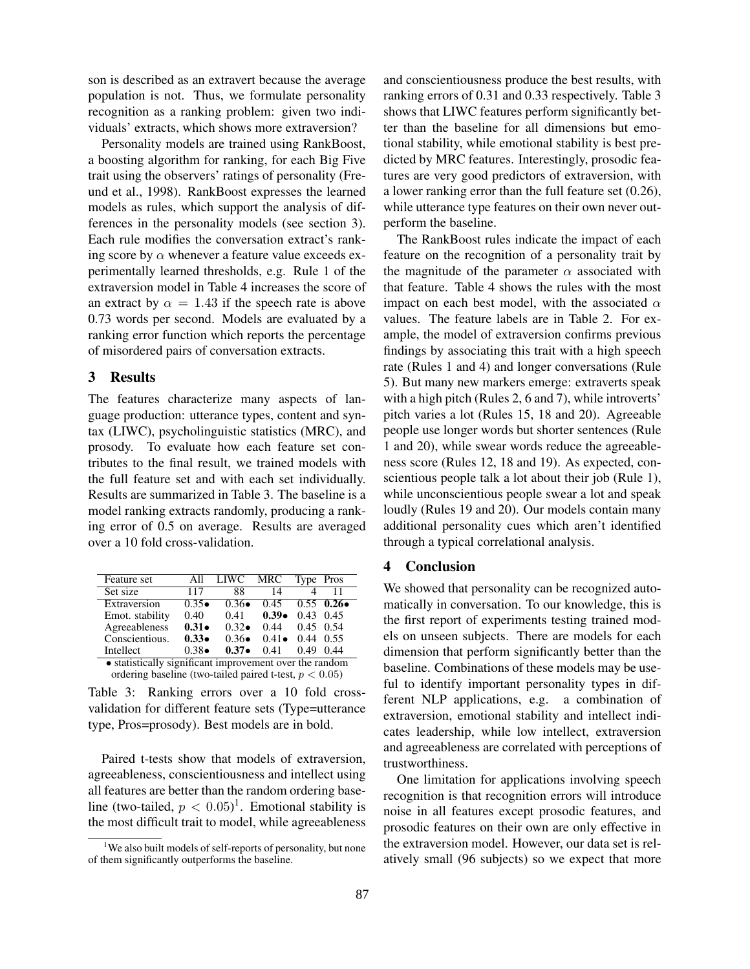son is described as an extravert because the average population is not. Thus, we formulate personality recognition as a ranking problem: given two individuals' extracts, which shows more extraversion?

Personality models are trained using RankBoost, a boosting algorithm for ranking, for each Big Five trait using the observers' ratings of personality (Freund et al., 1998). RankBoost expresses the learned models as rules, which support the analysis of differences in the personality models (see section 3). Each rule modifies the conversation extract's ranking score by  $\alpha$  whenever a feature value exceeds experimentally learned thresholds, e.g. Rule 1 of the extraversion model in Table 4 increases the score of an extract by  $\alpha = 1.43$  if the speech rate is above 0.73 words per second. Models are evaluated by a ranking error function which reports the percentage of misordered pairs of conversation extracts.

# 3 Results

The features characterize many aspects of language production: utterance types, content and syntax (LIWC), psycholinguistic statistics (MRC), and prosody. To evaluate how each feature set contributes to the final result, we trained models with the full feature set and with each set individually. Results are summarized in Table 3. The baseline is a model ranking extracts randomly, producing a ranking error of 0.5 on average. Results are averaged over a 10 fold cross-validation.

| Feature set                                             | All            | LIWC           | MRC           | Type Pros         |                        |  |  |  |  |
|---------------------------------------------------------|----------------|----------------|---------------|-------------------|------------------------|--|--|--|--|
| Set size                                                | 117            | 88             | 14            |                   |                        |  |  |  |  |
| Extraversion                                            | $0.35 \bullet$ | $0.36 \bullet$ | 0.45          |                   | $0.55 \t 0.26 \bullet$ |  |  |  |  |
| Emot. stability                                         | 0.40           | 0.41           | $0.39\bullet$ | $0.43$ 0.45       |                        |  |  |  |  |
| Agreeableness                                           | $0.31 -$       | $0.32 \bullet$ | 0.44          | $0.45 \quad 0.54$ |                        |  |  |  |  |
| Conscientious.                                          | $0.33\bullet$  | $0.36\bullet$  | $0.41\bullet$ | $0.44 \quad 0.55$ |                        |  |  |  |  |
| Intellect                                               | $0.38\bullet$  | $0.37\bullet$  | 0.41          | 0.49              | 0.44                   |  |  |  |  |
| • statistically significant improvement over the random |                |                |               |                   |                        |  |  |  |  |

*•* statistically significant improvement over the random ordering baseline (two-tailed paired t-test, *p <* 0*.*05)

Table 3: Ranking errors over a 10 fold crossvalidation for different feature sets (Type=utterance type, Pros=prosody). Best models are in bold.

Paired t-tests show that models of extraversion, agreeableness, conscientiousness and intellect using all features are better than the random ordering baseline (two-tailed,  $p < 0.05$ )<sup>1</sup>. Emotional stability is the most difficult trait to model, while agreeableness and conscientiousness produce the best results, with ranking errors of 0.31 and 0.33 respectively. Table 3 shows that LIWC features perform significantly better than the baseline for all dimensions but emotional stability, while emotional stability is best predicted by MRC features. Interestingly, prosodic features are very good predictors of extraversion, with a lower ranking error than the full feature set (0.26), while utterance type features on their own never outperform the baseline.

The RankBoost rules indicate the impact of each feature on the recognition of a personality trait by the magnitude of the parameter  $\alpha$  associated with that feature. Table 4 shows the rules with the most impact on each best model, with the associated  $\alpha$ values. The feature labels are in Table 2. For example, the model of extraversion confirms previous findings by associating this trait with a high speech rate (Rules 1 and 4) and longer conversations (Rule 5). But many new markers emerge: extraverts speak with a high pitch (Rules 2, 6 and 7), while introverts' pitch varies a lot (Rules 15, 18 and 20). Agreeable people use longer words but shorter sentences (Rule 1 and 20), while swear words reduce the agreeableness score (Rules 12, 18 and 19). As expected, conscientious people talk a lot about their job (Rule 1), while unconscientious people swear a lot and speak loudly (Rules 19 and 20). Our models contain many additional personality cues which aren't identified through a typical correlational analysis.

# 4 Conclusion

We showed that personality can be recognized automatically in conversation. To our knowledge, this is the first report of experiments testing trained models on unseen subjects. There are models for each dimension that perform significantly better than the baseline. Combinations of these models may be useful to identify important personality types in different NLP applications, e.g. a combination of extraversion, emotional stability and intellect indicates leadership, while low intellect, extraversion and agreeableness are correlated with perceptions of trustworthiness.

One limitation for applications involving speech recognition is that recognition errors will introduce noise in all features except prosodic features, and prosodic features on their own are only effective in the extraversion model. However, our data set is relatively small (96 subjects) so we expect that more

<sup>&</sup>lt;sup>1</sup>We also built models of self-reports of personality, but none of them significantly outperforms the baseline.